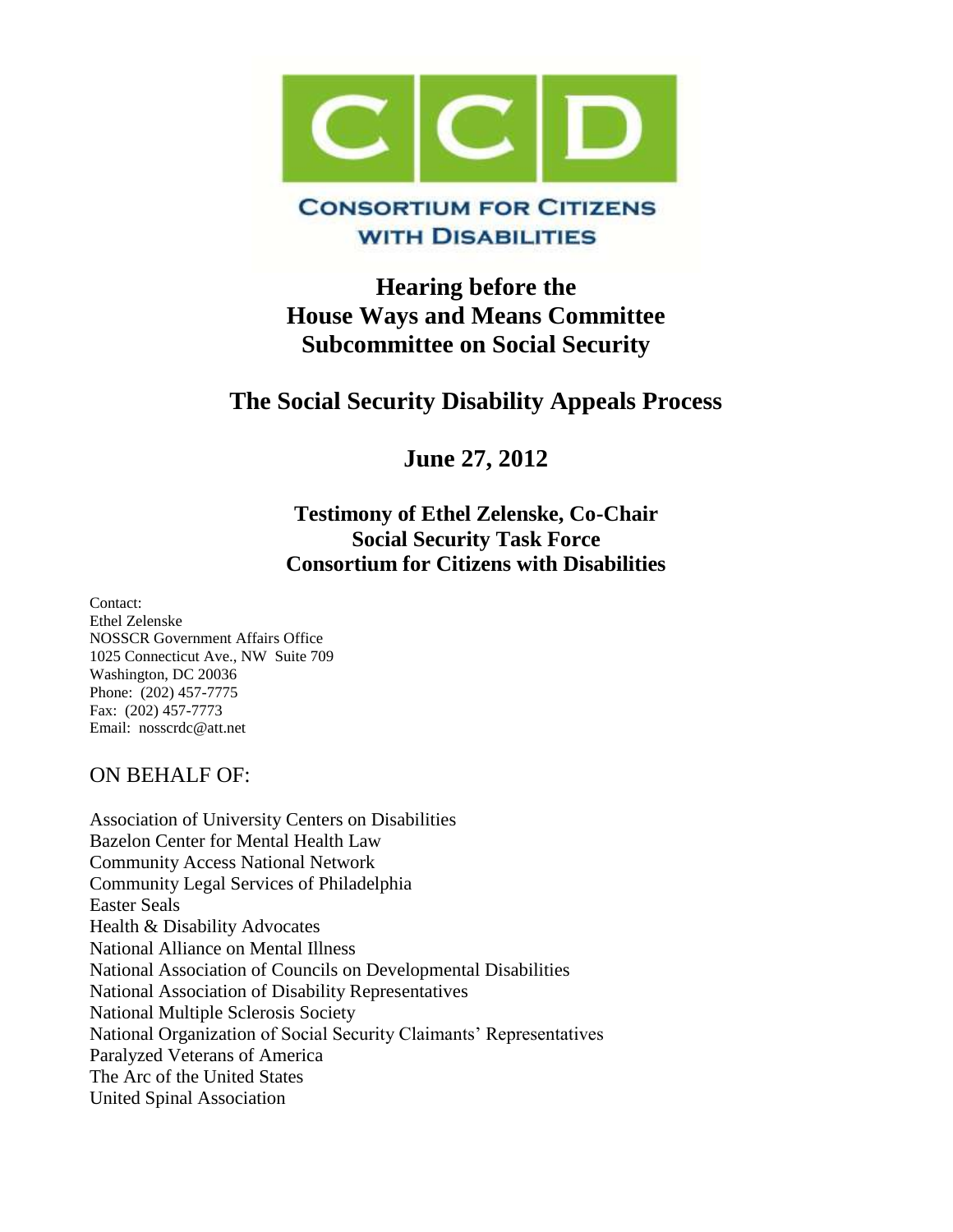

## **WITH DISABILITIES**

**Hearing before the House Ways and Means Committee Subcommittee on Social Security**

# **The Social Security Disability Appeals Process**

**June 27, 2012** 

## **Testimony of Ethel Zelenske, Co-Chair Social Security Task Force Consortium for Citizens with Disabilities**

Contact: Ethel Zelenske NOSSCR Government Affairs Office 1025 Connecticut Ave., NW Suite 709 Washington, DC 20036 Phone: (202) 457-7775 Fax: (202) 457-7773 Email: nosscrdc@att.net

## ON BEHALF OF:

Association of University Centers on Disabilities Bazelon Center for Mental Health Law Community Access National Network Community Legal Services of Philadelphia Easter Seals Health & Disability Advocates National Alliance on Mental Illness National Association of Councils on Developmental Disabilities National Association of Disability Representatives National Multiple Sclerosis Society National Organization of Social Security Claimants' Representatives Paralyzed Veterans of America The Arc of the United States United Spinal Association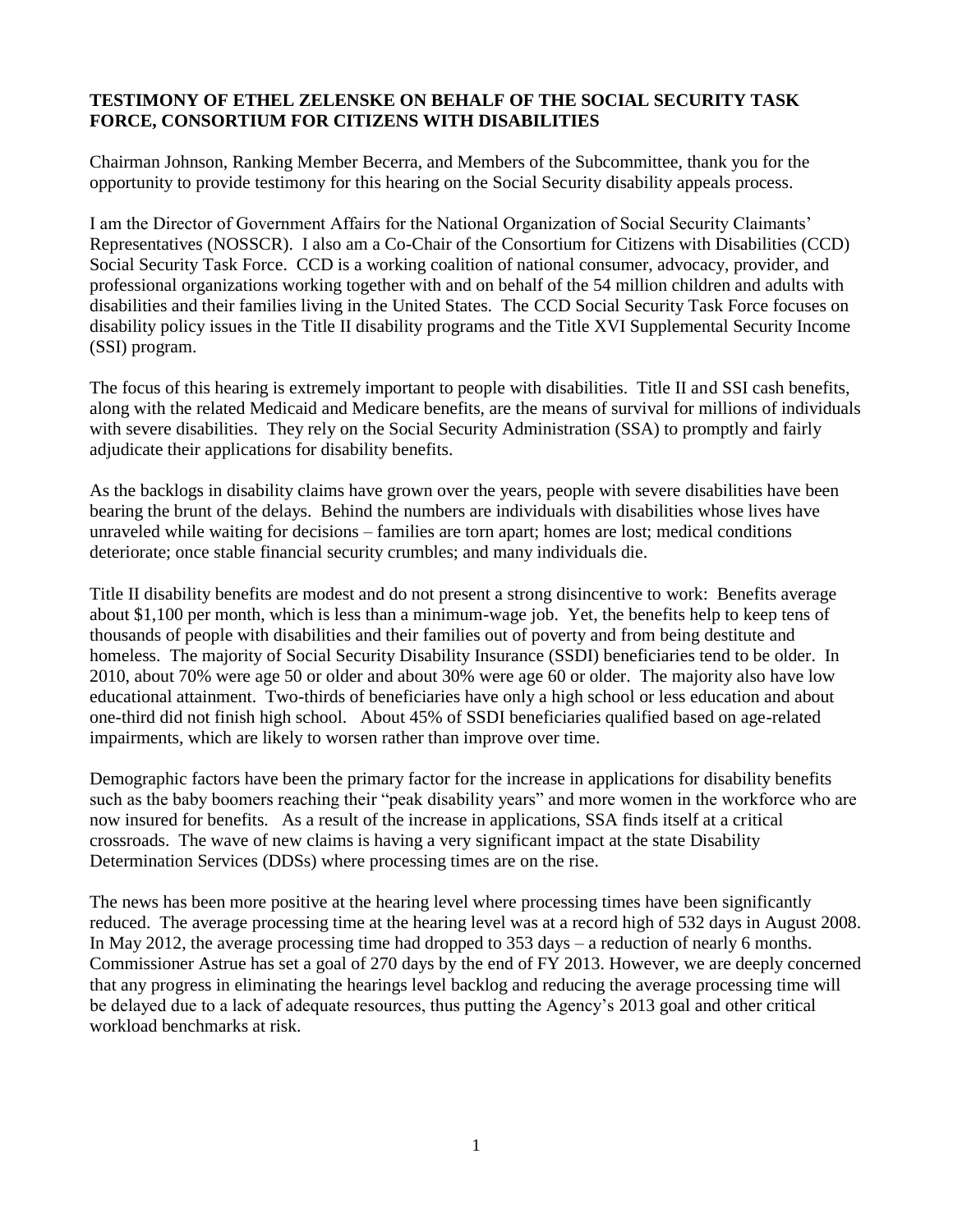#### **TESTIMONY OF ETHEL ZELENSKE ON BEHALF OF THE SOCIAL SECURITY TASK FORCE, CONSORTIUM FOR CITIZENS WITH DISABILITIES**

Chairman Johnson, Ranking Member Becerra, and Members of the Subcommittee, thank you for the opportunity to provide testimony for this hearing on the Social Security disability appeals process.

I am the Director of Government Affairs for the National Organization of Social Security Claimants' Representatives (NOSSCR). I also am a Co-Chair of the Consortium for Citizens with Disabilities (CCD) Social Security Task Force. CCD is a working coalition of national consumer, advocacy, provider, and professional organizations working together with and on behalf of the 54 million children and adults with disabilities and their families living in the United States. The CCD Social Security Task Force focuses on disability policy issues in the Title II disability programs and the Title XVI Supplemental Security Income (SSI) program.

The focus of this hearing is extremely important to people with disabilities. Title II and SSI cash benefits, along with the related Medicaid and Medicare benefits, are the means of survival for millions of individuals with severe disabilities. They rely on the Social Security Administration (SSA) to promptly and fairly adjudicate their applications for disability benefits.

As the backlogs in disability claims have grown over the years, people with severe disabilities have been bearing the brunt of the delays. Behind the numbers are individuals with disabilities whose lives have unraveled while waiting for decisions – families are torn apart; homes are lost; medical conditions deteriorate; once stable financial security crumbles; and many individuals die.

Title II disability benefits are modest and do not present a strong disincentive to work: Benefits average about \$1,100 per month, which is less than a minimum-wage job. Yet, the benefits help to keep tens of thousands of people with disabilities and their families out of poverty and from being destitute and homeless. The majority of Social Security Disability Insurance (SSDI) beneficiaries tend to be older. In 2010, about 70% were age 50 or older and about 30% were age 60 or older. The majority also have low educational attainment. Two-thirds of beneficiaries have only a high school or less education and about one-third did not finish high school. About 45% of SSDI beneficiaries qualified based on age-related impairments, which are likely to worsen rather than improve over time.

Demographic factors have been the primary factor for the increase in applications for disability benefits such as the baby boomers reaching their "peak disability years" and more women in the workforce who are now insured for benefits. As a result of the increase in applications, SSA finds itself at a critical crossroads. The wave of new claims is having a very significant impact at the state Disability Determination Services (DDSs) where processing times are on the rise.

The news has been more positive at the hearing level where processing times have been significantly reduced. The average processing time at the hearing level was at a record high of 532 days in August 2008. In May 2012, the average processing time had dropped to 353 days – a reduction of nearly 6 months. Commissioner Astrue has set a goal of 270 days by the end of FY 2013. However, we are deeply concerned that any progress in eliminating the hearings level backlog and reducing the average processing time will be delayed due to a lack of adequate resources, thus putting the Agency's 2013 goal and other critical workload benchmarks at risk.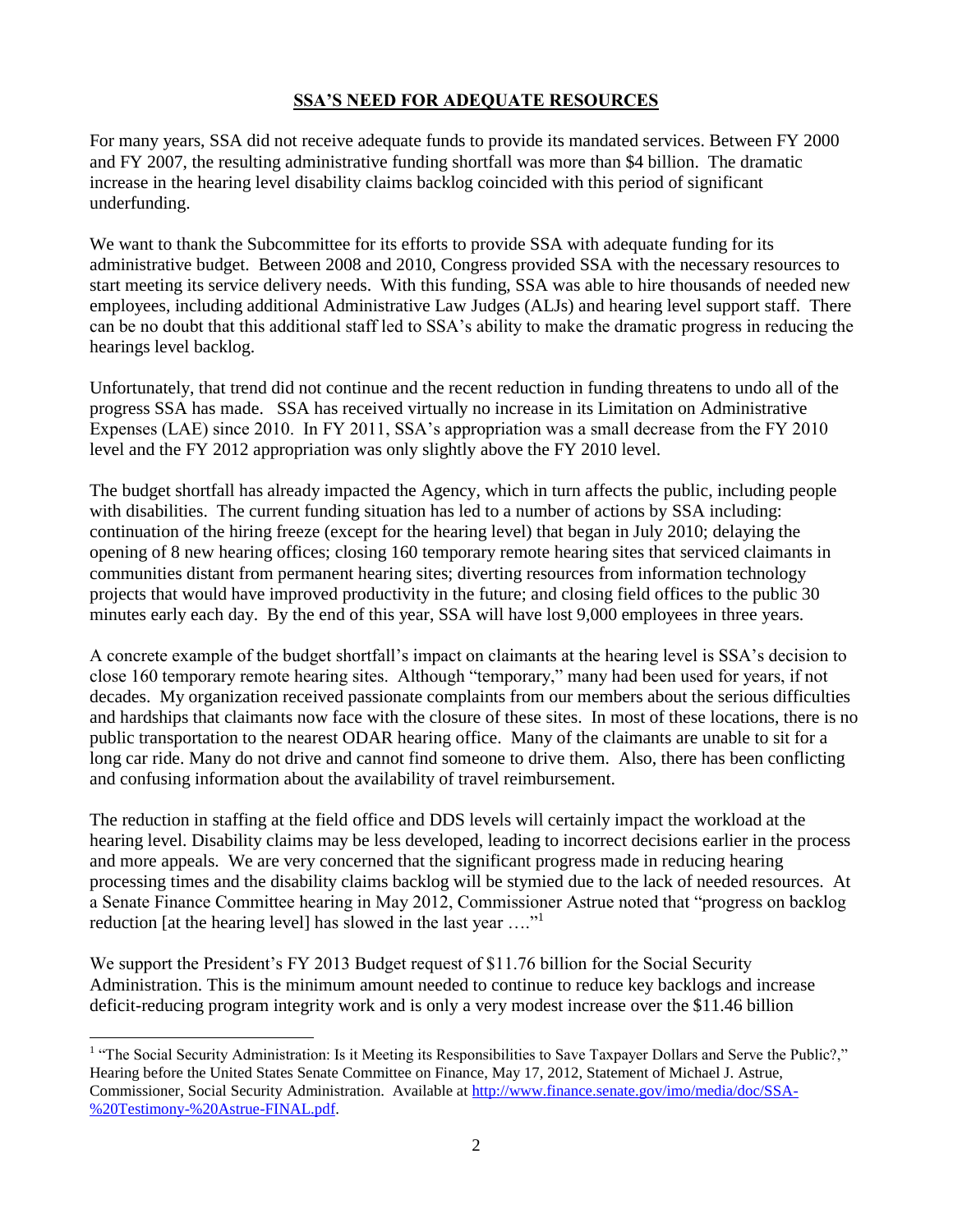#### **SSA'S NEED FOR ADEQUATE RESOURCES**

For many years, SSA did not receive adequate funds to provide its mandated services. Between FY 2000 and FY 2007, the resulting administrative funding shortfall was more than \$4 billion. The dramatic increase in the hearing level disability claims backlog coincided with this period of significant underfunding.

We want to thank the Subcommittee for its efforts to provide SSA with adequate funding for its administrative budget. Between 2008 and 2010, Congress provided SSA with the necessary resources to start meeting its service delivery needs. With this funding, SSA was able to hire thousands of needed new employees, including additional Administrative Law Judges (ALJs) and hearing level support staff. There can be no doubt that this additional staff led to SSA's ability to make the dramatic progress in reducing the hearings level backlog.

Unfortunately, that trend did not continue and the recent reduction in funding threatens to undo all of the progress SSA has made. SSA has received virtually no increase in its Limitation on Administrative Expenses (LAE) since 2010. In FY 2011, SSA's appropriation was a small decrease from the FY 2010 level and the FY 2012 appropriation was only slightly above the FY 2010 level.

The budget shortfall has already impacted the Agency, which in turn affects the public, including people with disabilities. The current funding situation has led to a number of actions by SSA including: continuation of the hiring freeze (except for the hearing level) that began in July 2010; delaying the opening of 8 new hearing offices; closing 160 temporary remote hearing sites that serviced claimants in communities distant from permanent hearing sites; diverting resources from information technology projects that would have improved productivity in the future; and closing field offices to the public 30 minutes early each day. By the end of this year, SSA will have lost 9,000 employees in three years.

A concrete example of the budget shortfall's impact on claimants at the hearing level is SSA's decision to close 160 temporary remote hearing sites. Although "temporary," many had been used for years, if not decades. My organization received passionate complaints from our members about the serious difficulties and hardships that claimants now face with the closure of these sites. In most of these locations, there is no public transportation to the nearest ODAR hearing office. Many of the claimants are unable to sit for a long car ride. Many do not drive and cannot find someone to drive them. Also, there has been conflicting and confusing information about the availability of travel reimbursement.

The reduction in staffing at the field office and DDS levels will certainly impact the workload at the hearing level. Disability claims may be less developed, leading to incorrect decisions earlier in the process and more appeals. We are very concerned that the significant progress made in reducing hearing processing times and the disability claims backlog will be stymied due to the lack of needed resources. At a Senate Finance Committee hearing in May 2012, Commissioner Astrue noted that "progress on backlog reduction [at the hearing level] has slowed in the last year ...."<sup>1</sup>

We support the President's FY 2013 Budget request of \$11.76 billion for the Social Security Administration. This is the minimum amount needed to continue to reduce key backlogs and increase deficit-reducing program integrity work and is only a very modest increase over the \$11.46 billion

<sup>&</sup>lt;sup>1</sup> "The Social Security Administration: Is it Meeting its Responsibilities to Save Taxpayer Dollars and Serve the Public?," Hearing before the United States Senate Committee on Finance, May 17, 2012, Statement of Michael J. Astrue, Commissioner, Social Security Administration. Available at [http://www.finance.senate.gov/imo/media/doc/SSA-](http://www.finance.senate.gov/imo/media/doc/SSA-%20Testimony-%20Astrue-FINAL.pdf) [%20Testimony-%20Astrue-FINAL.pdf.](http://www.finance.senate.gov/imo/media/doc/SSA-%20Testimony-%20Astrue-FINAL.pdf)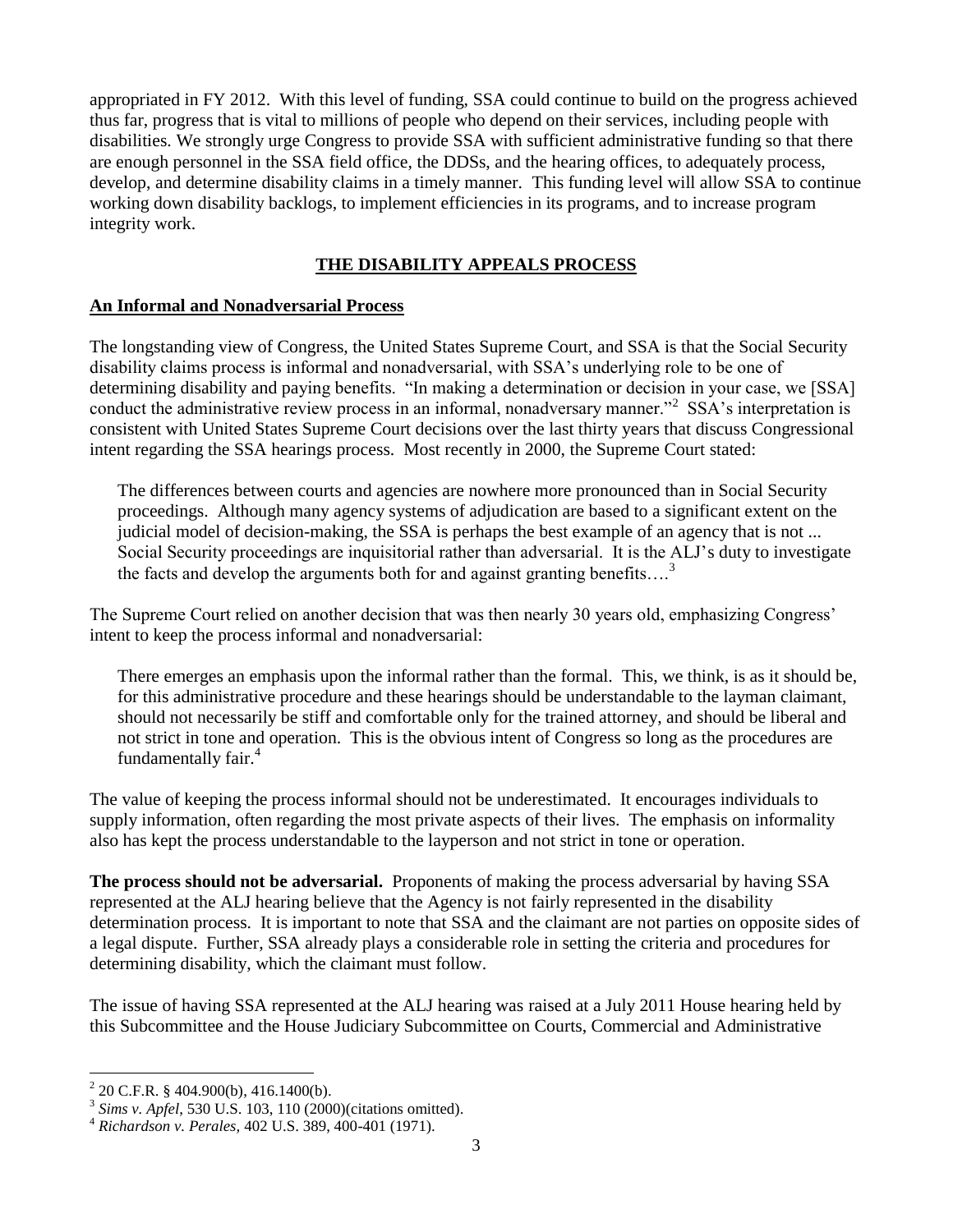appropriated in FY 2012. With this level of funding, SSA could continue to build on the progress achieved thus far, progress that is vital to millions of people who depend on their services, including people with disabilities. We strongly urge Congress to provide SSA with sufficient administrative funding so that there are enough personnel in the SSA field office, the DDSs, and the hearing offices, to adequately process, develop, and determine disability claims in a timely manner. This funding level will allow SSA to continue working down disability backlogs, to implement efficiencies in its programs, and to increase program integrity work.

#### **THE DISABILITY APPEALS PROCESS**

#### **An Informal and Nonadversarial Process**

The longstanding view of Congress, the United States Supreme Court, and SSA is that the Social Security disability claims process is informal and nonadversarial, with SSA's underlying role to be one of determining disability and paying benefits. "In making a determination or decision in your case, we [SSA] conduct the administrative review process in an informal, nonadversary manner."<sup>2</sup> SSA's interpretation is consistent with United States Supreme Court decisions over the last thirty years that discuss Congressional intent regarding the SSA hearings process. Most recently in 2000, the Supreme Court stated:

The differences between courts and agencies are nowhere more pronounced than in Social Security proceedings. Although many agency systems of adjudication are based to a significant extent on the judicial model of decision-making, the SSA is perhaps the best example of an agency that is not ... Social Security proceedings are inquisitorial rather than adversarial. It is the ALJ's duty to investigate the facts and develop the arguments both for and against granting benefits....<sup>3</sup>

The Supreme Court relied on another decision that was then nearly 30 years old, emphasizing Congress' intent to keep the process informal and nonadversarial:

There emerges an emphasis upon the informal rather than the formal. This, we think, is as it should be, for this administrative procedure and these hearings should be understandable to the layman claimant, should not necessarily be stiff and comfortable only for the trained attorney, and should be liberal and not strict in tone and operation. This is the obvious intent of Congress so long as the procedures are fundamentally fair.<sup>4</sup>

The value of keeping the process informal should not be underestimated. It encourages individuals to supply information, often regarding the most private aspects of their lives. The emphasis on informality also has kept the process understandable to the layperson and not strict in tone or operation.

**The process should not be adversarial.** Proponents of making the process adversarial by having SSA represented at the ALJ hearing believe that the Agency is not fairly represented in the disability determination process. It is important to note that SSA and the claimant are not parties on opposite sides of a legal dispute. Further, SSA already plays a considerable role in setting the criteria and procedures for determining disability, which the claimant must follow.

The issue of having SSA represented at the ALJ hearing was raised at a July 2011 House hearing held by this Subcommittee and the House Judiciary Subcommittee on Courts, Commercial and Administrative

 2 20 C.F.R. § 404.900(b), 416.1400(b).

<sup>3</sup> *Sims v. Apfel*, 530 U.S. 103, 110 (2000)(citations omitted).

<sup>4</sup> *Richardson v. Perales,* 402 U.S. 389, 400-401 (1971).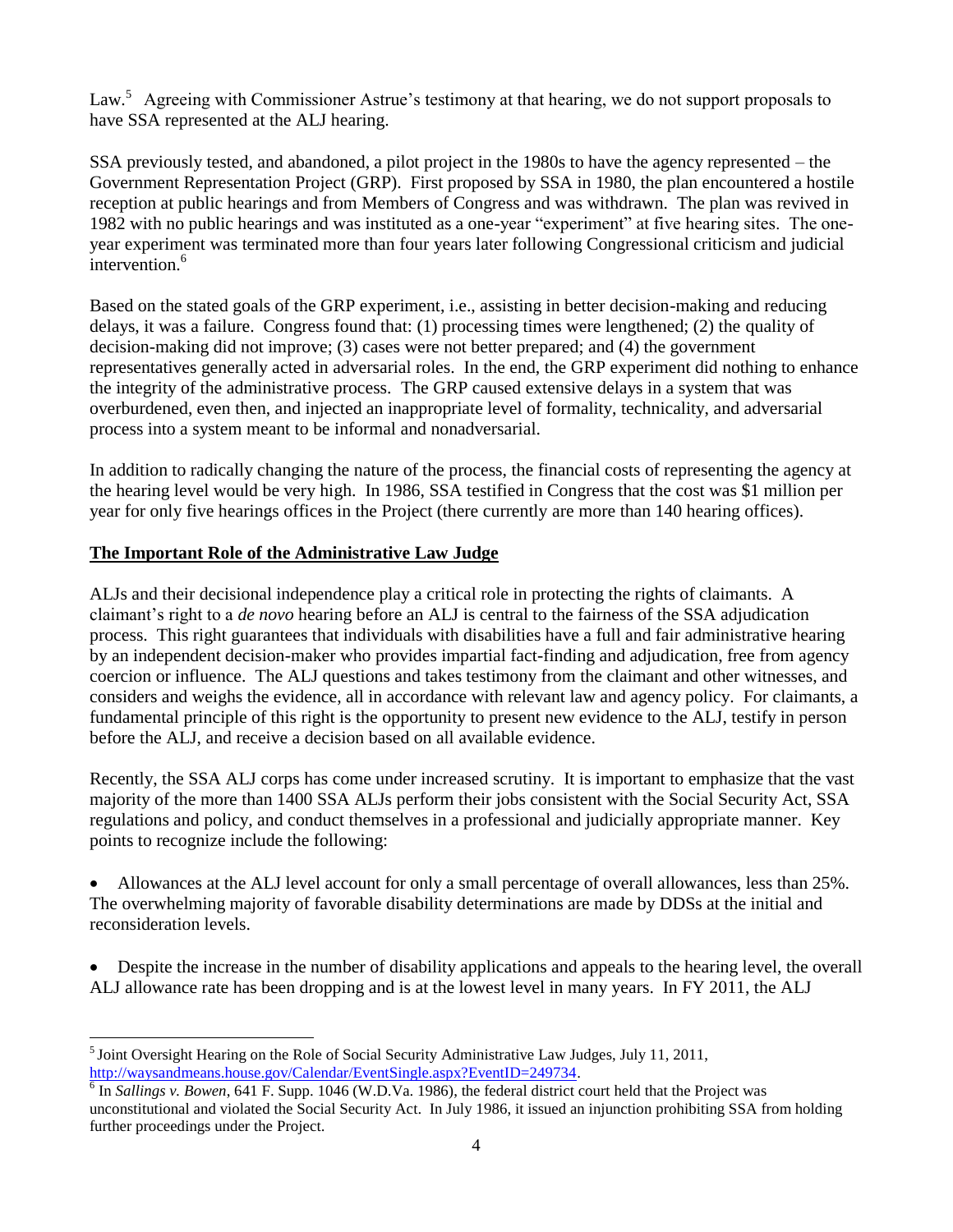Law.<sup>5</sup> Agreeing with Commissioner Astrue's testimony at that hearing, we do not support proposals to have SSA represented at the ALJ hearing.

SSA previously tested, and abandoned, a pilot project in the 1980s to have the agency represented – the Government Representation Project (GRP). First proposed by SSA in 1980, the plan encountered a hostile reception at public hearings and from Members of Congress and was withdrawn. The plan was revived in 1982 with no public hearings and was instituted as a one-year "experiment" at five hearing sites. The oneyear experiment was terminated more than four years later following Congressional criticism and judicial intervention.<sup>6</sup>

Based on the stated goals of the GRP experiment, i.e., assisting in better decision-making and reducing delays, it was a failure. Congress found that: (1) processing times were lengthened; (2) the quality of decision-making did not improve; (3) cases were not better prepared; and (4) the government representatives generally acted in adversarial roles. In the end, the GRP experiment did nothing to enhance the integrity of the administrative process. The GRP caused extensive delays in a system that was overburdened, even then, and injected an inappropriate level of formality, technicality, and adversarial process into a system meant to be informal and nonadversarial.

In addition to radically changing the nature of the process, the financial costs of representing the agency at the hearing level would be very high. In 1986, SSA testified in Congress that the cost was \$1 million per year for only five hearings offices in the Project (there currently are more than 140 hearing offices).

#### **The Important Role of the Administrative Law Judge**

 $\overline{a}$ 

ALJs and their decisional independence play a critical role in protecting the rights of claimants. A claimant's right to a *de novo* hearing before an ALJ is central to the fairness of the SSA adjudication process. This right guarantees that individuals with disabilities have a full and fair administrative hearing by an independent decision-maker who provides impartial fact-finding and adjudication, free from agency coercion or influence. The ALJ questions and takes testimony from the claimant and other witnesses, and considers and weighs the evidence, all in accordance with relevant law and agency policy. For claimants, a fundamental principle of this right is the opportunity to present new evidence to the ALJ, testify in person before the ALJ, and receive a decision based on all available evidence.

Recently, the SSA ALJ corps has come under increased scrutiny. It is important to emphasize that the vast majority of the more than 1400 SSA ALJs perform their jobs consistent with the Social Security Act, SSA regulations and policy, and conduct themselves in a professional and judicially appropriate manner. Key points to recognize include the following:

 Allowances at the ALJ level account for only a small percentage of overall allowances, less than 25%. The overwhelming majority of favorable disability determinations are made by DDSs at the initial and reconsideration levels.

 Despite the increase in the number of disability applications and appeals to the hearing level, the overall ALJ allowance rate has been dropping and is at the lowest level in many years. In FY 2011, the ALJ

 $<sup>5</sup>$  Joint Oversight Hearing on the Role of Social Security Administrative Law Judges, July 11, 2011,</sup> [http://waysandmeans.house.gov/Calendar/EventSingle.aspx?EventID=249734.](http://waysandmeans.house.gov/Calendar/EventSingle.aspx?EventID=249734)

 $6 \text{ In }$  *Sallings v. Bowen*, 641 F. Supp. 1046 (W.D.Va. 1986), the federal district court held that the Project was unconstitutional and violated the Social Security Act. In July 1986, it issued an injunction prohibiting SSA from holding further proceedings under the Project.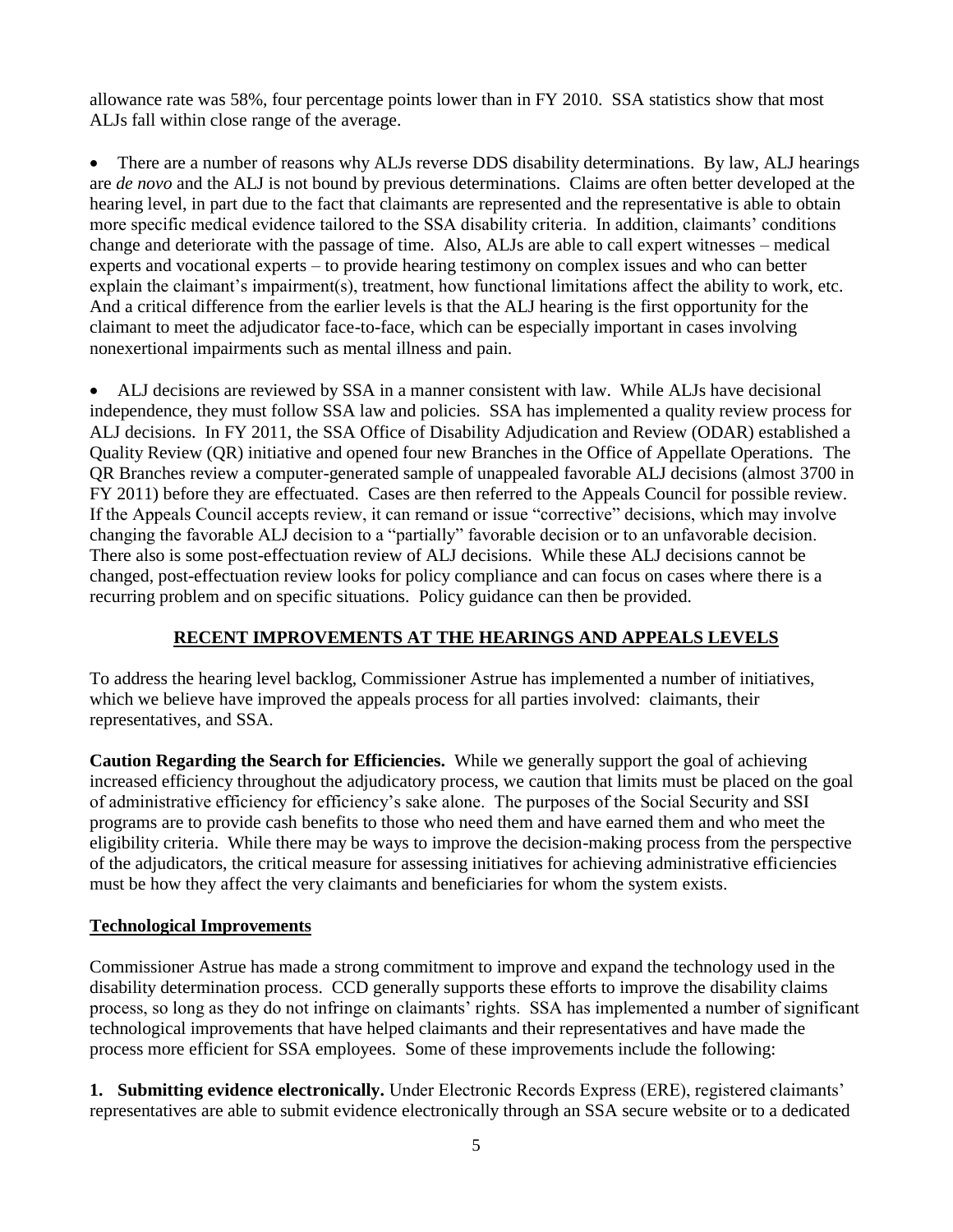allowance rate was 58%, four percentage points lower than in FY 2010. SSA statistics show that most ALJs fall within close range of the average.

 There are a number of reasons why ALJs reverse DDS disability determinations. By law, ALJ hearings are *de novo* and the ALJ is not bound by previous determinations. Claims are often better developed at the hearing level, in part due to the fact that claimants are represented and the representative is able to obtain more specific medical evidence tailored to the SSA disability criteria. In addition, claimants' conditions change and deteriorate with the passage of time. Also, ALJs are able to call expert witnesses – medical experts and vocational experts – to provide hearing testimony on complex issues and who can better explain the claimant's impairment(s), treatment, how functional limitations affect the ability to work, etc. And a critical difference from the earlier levels is that the ALJ hearing is the first opportunity for the claimant to meet the adjudicator face-to-face, which can be especially important in cases involving nonexertional impairments such as mental illness and pain.

 ALJ decisions are reviewed by SSA in a manner consistent with law. While ALJs have decisional independence, they must follow SSA law and policies. SSA has implemented a quality review process for ALJ decisions. In FY 2011, the SSA Office of Disability Adjudication and Review (ODAR) established a Quality Review (QR) initiative and opened four new Branches in the Office of Appellate Operations. The QR Branches review a computer-generated sample of unappealed favorable ALJ decisions (almost 3700 in FY 2011) before they are effectuated. Cases are then referred to the Appeals Council for possible review. If the Appeals Council accepts review, it can remand or issue "corrective" decisions, which may involve changing the favorable ALJ decision to a "partially" favorable decision or to an unfavorable decision. There also is some post-effectuation review of ALJ decisions. While these ALJ decisions cannot be changed, post-effectuation review looks for policy compliance and can focus on cases where there is a recurring problem and on specific situations. Policy guidance can then be provided.

#### **RECENT IMPROVEMENTS AT THE HEARINGS AND APPEALS LEVELS**

To address the hearing level backlog, Commissioner Astrue has implemented a number of initiatives, which we believe have improved the appeals process for all parties involved: claimants, their representatives, and SSA.

**Caution Regarding the Search for Efficiencies.** While we generally support the goal of achieving increased efficiency throughout the adjudicatory process, we caution that limits must be placed on the goal of administrative efficiency for efficiency's sake alone. The purposes of the Social Security and SSI programs are to provide cash benefits to those who need them and have earned them and who meet the eligibility criteria. While there may be ways to improve the decision-making process from the perspective of the adjudicators, the critical measure for assessing initiatives for achieving administrative efficiencies must be how they affect the very claimants and beneficiaries for whom the system exists.

#### **Technological Improvements**

Commissioner Astrue has made a strong commitment to improve and expand the technology used in the disability determination process. CCD generally supports these efforts to improve the disability claims process, so long as they do not infringe on claimants' rights. SSA has implemented a number of significant technological improvements that have helped claimants and their representatives and have made the process more efficient for SSA employees. Some of these improvements include the following:

**1. Submitting evidence electronically.** Under Electronic Records Express (ERE), registered claimants' representatives are able to submit evidence electronically through an SSA secure website or to a dedicated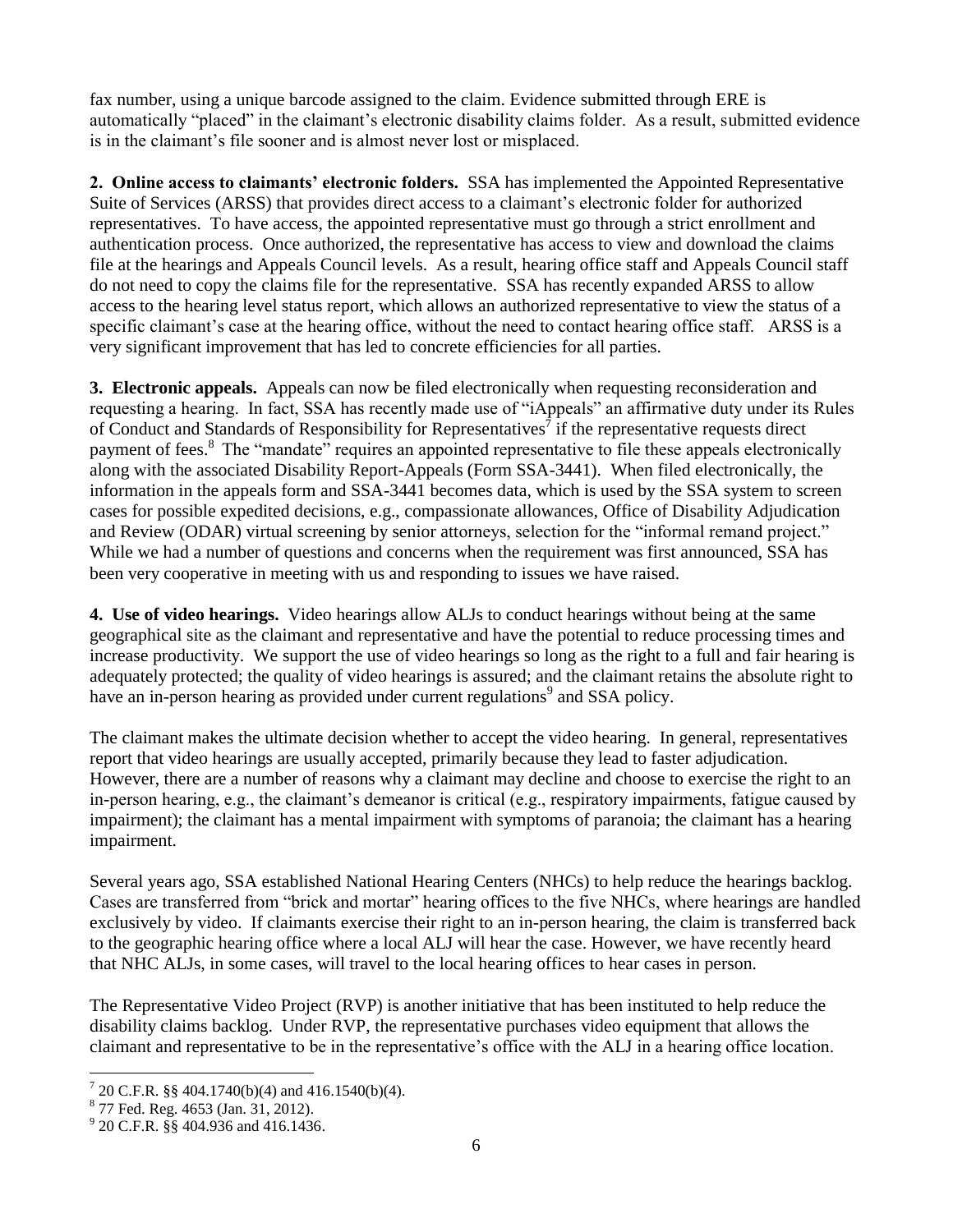fax number, using a unique barcode assigned to the claim. Evidence submitted through ERE is automatically "placed" in the claimant's electronic disability claims folder. As a result, submitted evidence is in the claimant's file sooner and is almost never lost or misplaced.

**2. Online access to claimants' electronic folders.** SSA has implemented the Appointed Representative Suite of Services (ARSS) that provides direct access to a claimant's electronic folder for authorized representatives. To have access, the appointed representative must go through a strict enrollment and authentication process. Once authorized, the representative has access to view and download the claims file at the hearings and Appeals Council levels. As a result, hearing office staff and Appeals Council staff do not need to copy the claims file for the representative. SSA has recently expanded ARSS to allow access to the hearing level status report, which allows an authorized representative to view the status of a specific claimant's case at the hearing office, without the need to contact hearing office staff. ARSS is a very significant improvement that has led to concrete efficiencies for all parties.

**3. Electronic appeals.** Appeals can now be filed electronically when requesting reconsideration and requesting a hearing. In fact, SSA has recently made use of "iAppeals" an affirmative duty under its Rules of Conduct and Standards of Responsibility for Representatives<sup>7</sup> if the representative requests direct payment of fees.<sup>8</sup> The "mandate" requires an appointed representative to file these appeals electronically along with the associated Disability Report-Appeals (Form SSA-3441). When filed electronically, the information in the appeals form and SSA-3441 becomes data, which is used by the SSA system to screen cases for possible expedited decisions, e.g., compassionate allowances, Office of Disability Adjudication and Review (ODAR) virtual screening by senior attorneys, selection for the "informal remand project." While we had a number of questions and concerns when the requirement was first announced, SSA has been very cooperative in meeting with us and responding to issues we have raised.

**4. Use of video hearings.** Video hearings allow ALJs to conduct hearings without being at the same geographical site as the claimant and representative and have the potential to reduce processing times and increase productivity. We support the use of video hearings so long as the right to a full and fair hearing is adequately protected; the quality of video hearings is assured; and the claimant retains the absolute right to have an in-person hearing as provided under current regulations<sup>9</sup> and SSA policy.

The claimant makes the ultimate decision whether to accept the video hearing. In general, representatives report that video hearings are usually accepted, primarily because they lead to faster adjudication. However, there are a number of reasons why a claimant may decline and choose to exercise the right to an in-person hearing, e.g., the claimant's demeanor is critical (e.g., respiratory impairments, fatigue caused by impairment); the claimant has a mental impairment with symptoms of paranoia; the claimant has a hearing impairment.

Several years ago, SSA established National Hearing Centers (NHCs) to help reduce the hearings backlog. Cases are transferred from "brick and mortar" hearing offices to the five NHCs, where hearings are handled exclusively by video. If claimants exercise their right to an in-person hearing, the claim is transferred back to the geographic hearing office where a local ALJ will hear the case. However, we have recently heard that NHC ALJs, in some cases, will travel to the local hearing offices to hear cases in person.

The Representative Video Project (RVP) is another initiative that has been instituted to help reduce the disability claims backlog. Under RVP, the representative purchases video equipment that allows the claimant and representative to be in the representative's office with the ALJ in a hearing office location.

 $\frac{7}{1}$  20 C.F.R. §§ 404.1740(b)(4) and 416.1540(b)(4).

<sup>8</sup> 77 Fed. Reg. 4653 (Jan. 31, 2012).

<sup>&</sup>lt;sup>9</sup> 20 C.F.R. §§ 404.936 and 416.1436.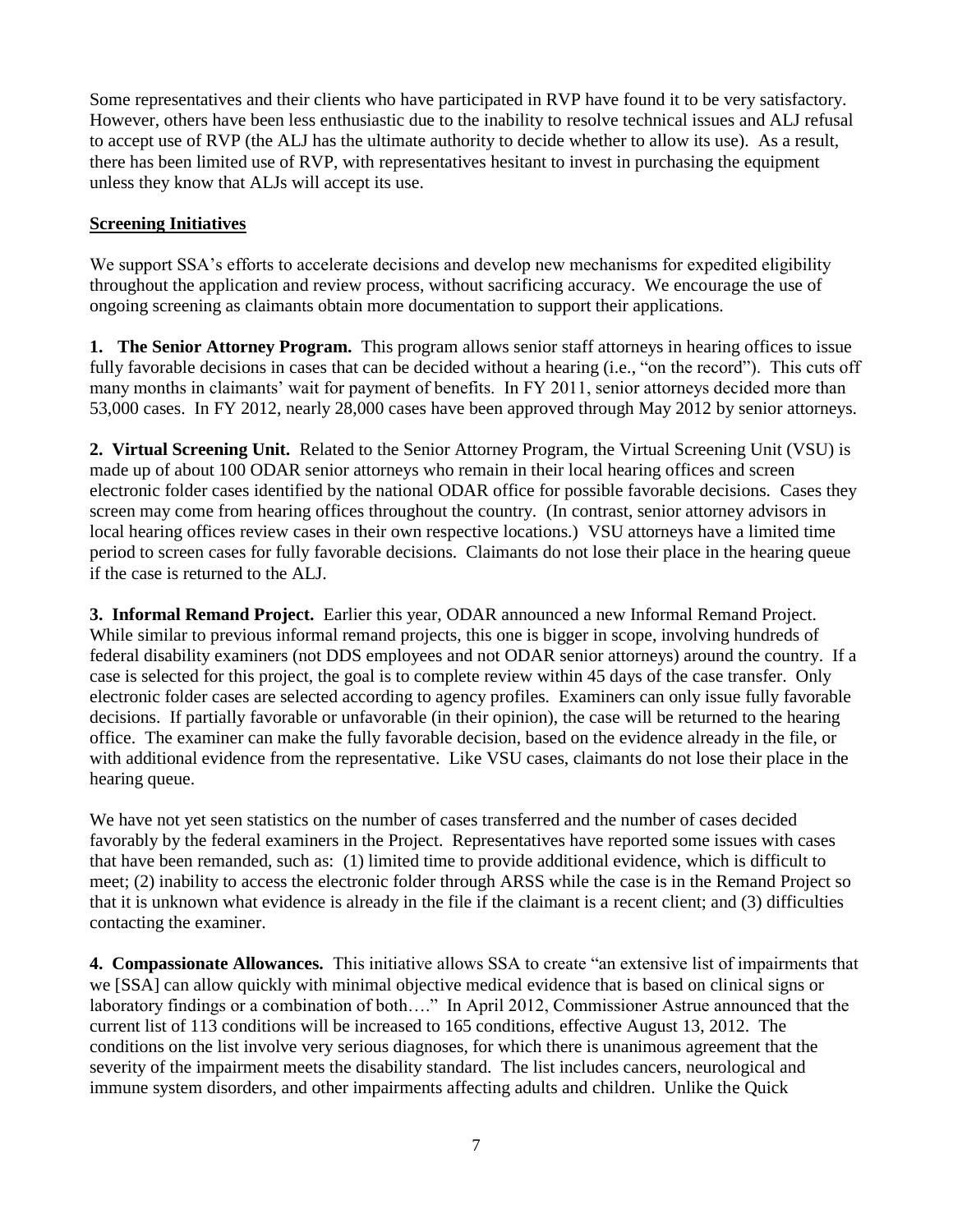Some representatives and their clients who have participated in RVP have found it to be very satisfactory. However, others have been less enthusiastic due to the inability to resolve technical issues and ALJ refusal to accept use of RVP (the ALJ has the ultimate authority to decide whether to allow its use). As a result, there has been limited use of RVP, with representatives hesitant to invest in purchasing the equipment unless they know that ALJs will accept its use.

#### **Screening Initiatives**

We support SSA's efforts to accelerate decisions and develop new mechanisms for expedited eligibility throughout the application and review process, without sacrificing accuracy. We encourage the use of ongoing screening as claimants obtain more documentation to support their applications.

**1. The Senior Attorney Program.** This program allows senior staff attorneys in hearing offices to issue fully favorable decisions in cases that can be decided without a hearing (i.e., "on the record"). This cuts off many months in claimants' wait for payment of benefits. In FY 2011, senior attorneys decided more than 53,000 cases. In FY 2012, nearly 28,000 cases have been approved through May 2012 by senior attorneys.

**2. Virtual Screening Unit.** Related to the Senior Attorney Program, the Virtual Screening Unit (VSU) is made up of about 100 ODAR senior attorneys who remain in their local hearing offices and screen electronic folder cases identified by the national ODAR office for possible favorable decisions. Cases they screen may come from hearing offices throughout the country. (In contrast, senior attorney advisors in local hearing offices review cases in their own respective locations.) VSU attorneys have a limited time period to screen cases for fully favorable decisions. Claimants do not lose their place in the hearing queue if the case is returned to the ALJ.

**3. Informal Remand Project.** Earlier this year, ODAR announced a new Informal Remand Project. While similar to previous informal remand projects, this one is bigger in scope, involving hundreds of federal disability examiners (not DDS employees and not ODAR senior attorneys) around the country. If a case is selected for this project, the goal is to complete review within 45 days of the case transfer. Only electronic folder cases are selected according to agency profiles. Examiners can only issue fully favorable decisions. If partially favorable or unfavorable (in their opinion), the case will be returned to the hearing office. The examiner can make the fully favorable decision, based on the evidence already in the file, or with additional evidence from the representative. Like VSU cases, claimants do not lose their place in the hearing queue.

We have not yet seen statistics on the number of cases transferred and the number of cases decided favorably by the federal examiners in the Project. Representatives have reported some issues with cases that have been remanded, such as: (1) limited time to provide additional evidence, which is difficult to meet; (2) inability to access the electronic folder through ARSS while the case is in the Remand Project so that it is unknown what evidence is already in the file if the claimant is a recent client; and (3) difficulties contacting the examiner.

**4. Compassionate Allowances.** This initiative allows SSA to create "an extensive list of impairments that we [SSA] can allow quickly with minimal objective medical evidence that is based on clinical signs or laboratory findings or a combination of both…." In April 2012, Commissioner Astrue announced that the current list of 113 conditions will be increased to 165 conditions, effective August 13, 2012. The conditions on the list involve very serious diagnoses, for which there is unanimous agreement that the severity of the impairment meets the disability standard. The list includes cancers, neurological and immune system disorders, and other impairments affecting adults and children. Unlike the Quick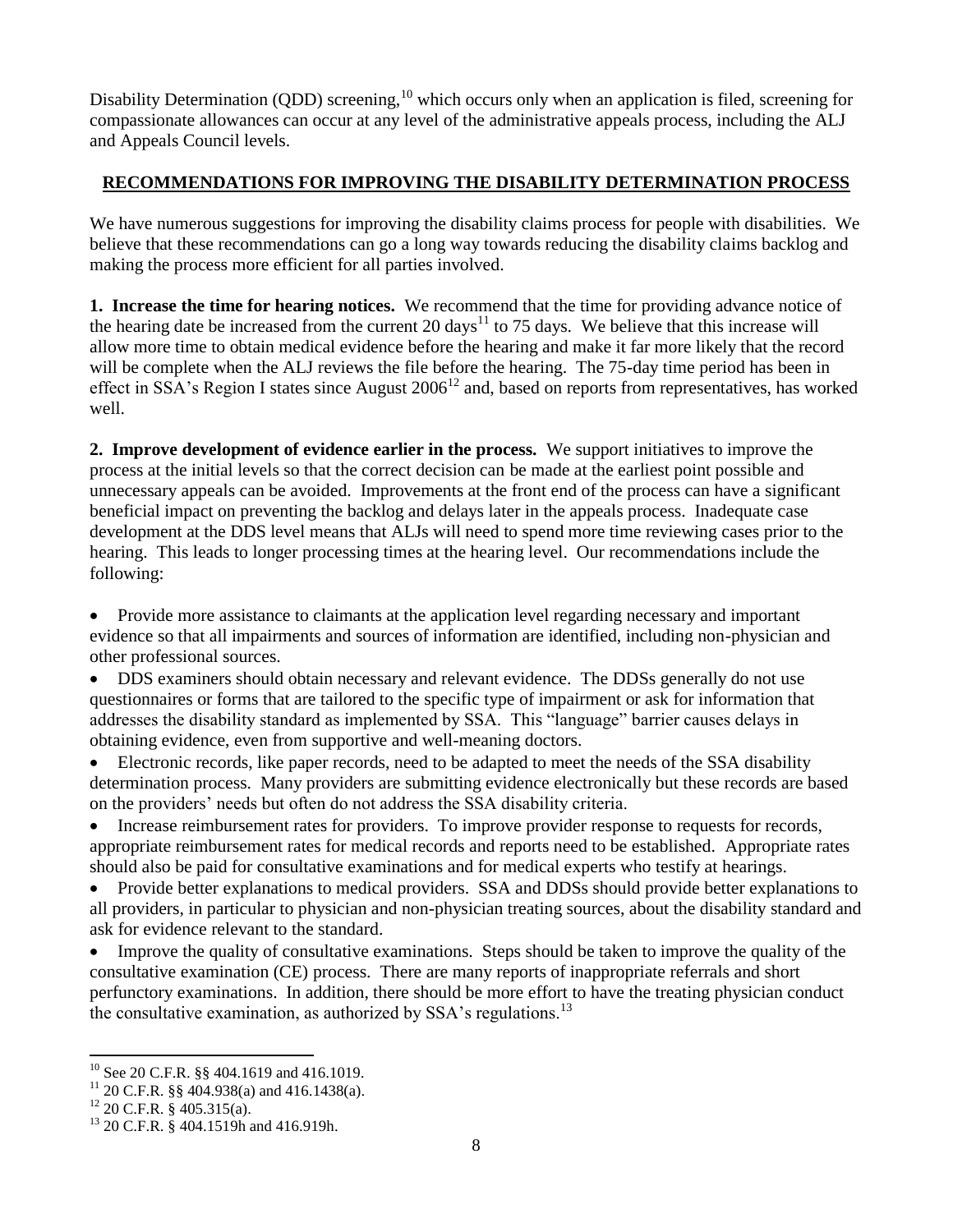Disability Determination (QDD) screening,<sup>10</sup> which occurs only when an application is filed, screening for compassionate allowances can occur at any level of the administrative appeals process, including the ALJ and Appeals Council levels.

### **RECOMMENDATIONS FOR IMPROVING THE DISABILITY DETERMINATION PROCESS**

We have numerous suggestions for improving the disability claims process for people with disabilities. We believe that these recommendations can go a long way towards reducing the disability claims backlog and making the process more efficient for all parties involved.

**1. Increase the time for hearing notices.** We recommend that the time for providing advance notice of the hearing date be increased from the current 20 days<sup>11</sup> to 75 days. We believe that this increase will allow more time to obtain medical evidence before the hearing and make it far more likely that the record will be complete when the ALJ reviews the file before the hearing. The 75-day time period has been in effect in SSA's Region I states since August  $2006^{12}$  and, based on reports from representatives, has worked well.

**2. Improve development of evidence earlier in the process.** We support initiatives to improve the process at the initial levels so that the correct decision can be made at the earliest point possible and unnecessary appeals can be avoided. Improvements at the front end of the process can have a significant beneficial impact on preventing the backlog and delays later in the appeals process. Inadequate case development at the DDS level means that ALJs will need to spend more time reviewing cases prior to the hearing. This leads to longer processing times at the hearing level. Our recommendations include the following:

 Provide more assistance to claimants at the application level regarding necessary and important evidence so that all impairments and sources of information are identified, including non-physician and other professional sources.

 DDS examiners should obtain necessary and relevant evidence. The DDSs generally do not use questionnaires or forms that are tailored to the specific type of impairment or ask for information that addresses the disability standard as implemented by SSA. This "language" barrier causes delays in obtaining evidence, even from supportive and well-meaning doctors.

 Electronic records, like paper records, need to be adapted to meet the needs of the SSA disability determination process. Many providers are submitting evidence electronically but these records are based on the providers' needs but often do not address the SSA disability criteria.

• Increase reimbursement rates for providers. To improve provider response to requests for records, appropriate reimbursement rates for medical records and reports need to be established. Appropriate rates should also be paid for consultative examinations and for medical experts who testify at hearings.

 Provide better explanations to medical providers. SSA and DDSs should provide better explanations to all providers, in particular to physician and non-physician treating sources, about the disability standard and ask for evidence relevant to the standard.

 Improve the quality of consultative examinations. Steps should be taken to improve the quality of the consultative examination (CE) process. There are many reports of inappropriate referrals and short perfunctory examinations. In addition, there should be more effort to have the treating physician conduct the consultative examination, as authorized by SSA's regulations.<sup>13</sup>

 $\overline{a}$ 

 $10$  See 20 C.F.R. §§ 404.1619 and 416.1019.

<sup>&</sup>lt;sup>11</sup> 20 C.F.R. §§ 404.938(a) and 416.1438(a).

 $12$  20 C.F.R. § 405.315(a).

<sup>13</sup> 20 C.F.R. § 404.1519h and 416.919h.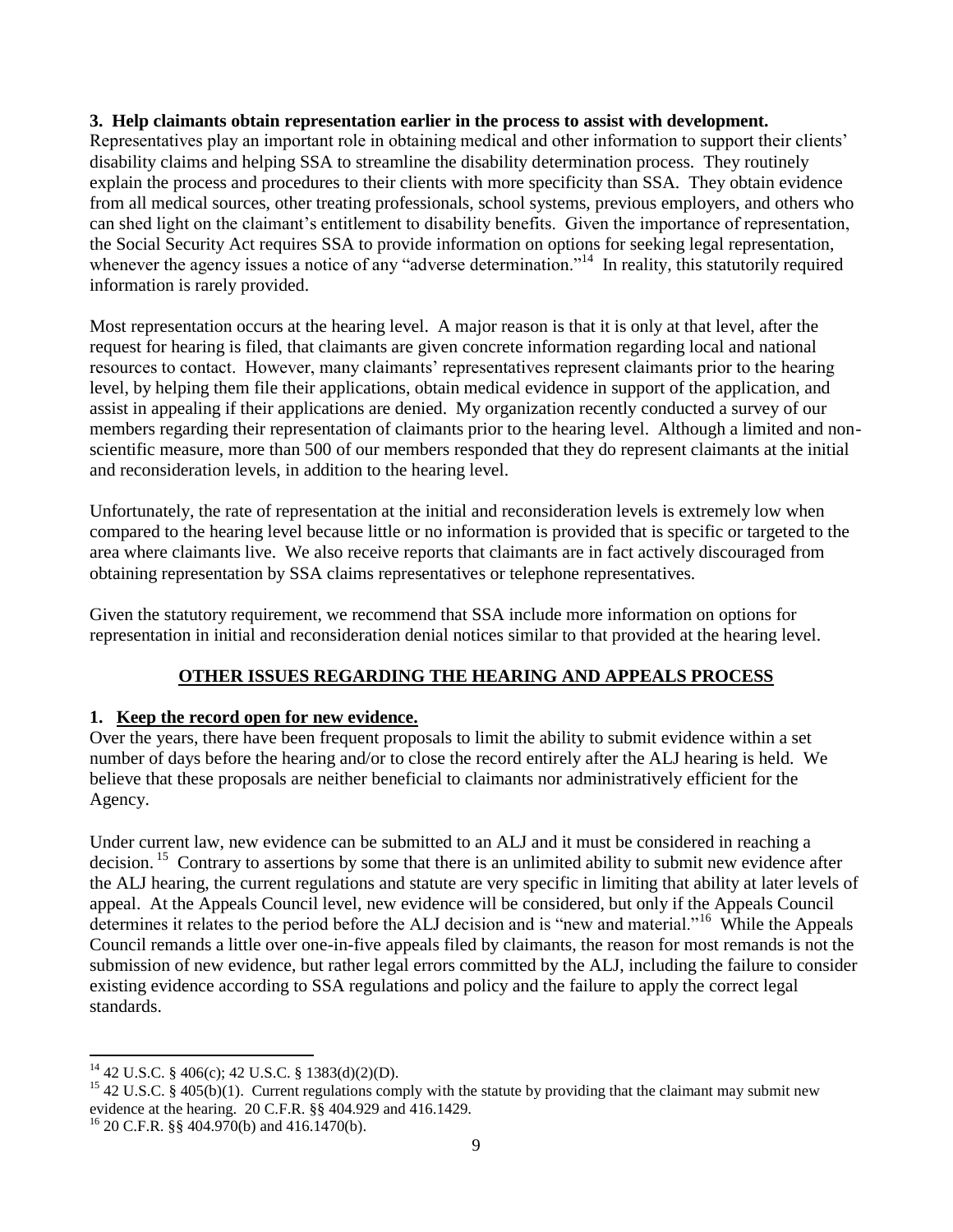#### **3. Help claimants obtain representation earlier in the process to assist with development.**

Representatives play an important role in obtaining medical and other information to support their clients' disability claims and helping SSA to streamline the disability determination process. They routinely explain the process and procedures to their clients with more specificity than SSA. They obtain evidence from all medical sources, other treating professionals, school systems, previous employers, and others who can shed light on the claimant's entitlement to disability benefits. Given the importance of representation, the Social Security Act requires SSA to provide information on options for seeking legal representation, whenever the agency issues a notice of any "adverse determination."<sup>14</sup> In reality, this statutorily required information is rarely provided.

Most representation occurs at the hearing level. A major reason is that it is only at that level, after the request for hearing is filed, that claimants are given concrete information regarding local and national resources to contact. However, many claimants' representatives represent claimants prior to the hearing level, by helping them file their applications, obtain medical evidence in support of the application, and assist in appealing if their applications are denied. My organization recently conducted a survey of our members regarding their representation of claimants prior to the hearing level. Although a limited and nonscientific measure, more than 500 of our members responded that they do represent claimants at the initial and reconsideration levels, in addition to the hearing level.

Unfortunately, the rate of representation at the initial and reconsideration levels is extremely low when compared to the hearing level because little or no information is provided that is specific or targeted to the area where claimants live. We also receive reports that claimants are in fact actively discouraged from obtaining representation by SSA claims representatives or telephone representatives.

Given the statutory requirement, we recommend that SSA include more information on options for representation in initial and reconsideration denial notices similar to that provided at the hearing level.

#### **OTHER ISSUES REGARDING THE HEARING AND APPEALS PROCESS**

#### **1. Keep the record open for new evidence.**

Over the years, there have been frequent proposals to limit the ability to submit evidence within a set number of days before the hearing and/or to close the record entirely after the ALJ hearing is held. We believe that these proposals are neither beneficial to claimants nor administratively efficient for the Agency.

Under current law, new evidence can be submitted to an ALJ and it must be considered in reaching a decision.<sup>15</sup> Contrary to assertions by some that there is an unlimited ability to submit new evidence after the ALJ hearing, the current regulations and statute are very specific in limiting that ability at later levels of appeal. At the Appeals Council level, new evidence will be considered, but only if the Appeals Council determines it relates to the period before the ALJ decision and is "new and material."<sup>16</sup> While the Appeals Council remands a little over one-in-five appeals filed by claimants, the reason for most remands is not the submission of new evidence, but rather legal errors committed by the ALJ, including the failure to consider existing evidence according to SSA regulations and policy and the failure to apply the correct legal standards.

 $\overline{a}$ 

 $^{14}$  42 U.S.C. § 406(c); 42 U.S.C. § 1383(d)(2)(D).

<sup>&</sup>lt;sup>15</sup> 42 U.S.C. § 405(b)(1). Current regulations comply with the statute by providing that the claimant may submit new evidence at the hearing. 20 C.F.R. §§ 404.929 and 416.1429.

 $^{16}$  20 C.F.R. §§ 404.970(b) and 416.1470(b).